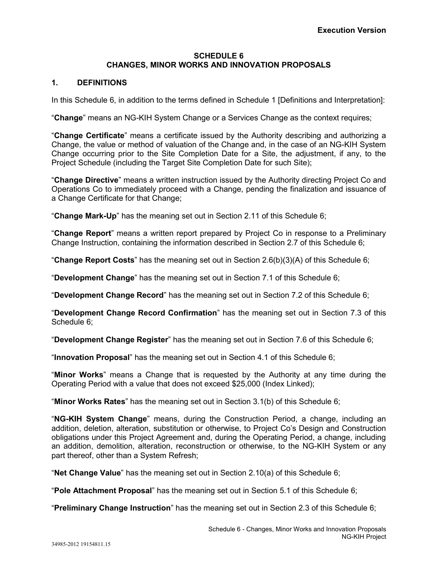## **SCHEDULE 6 CHANGES, MINOR WORKS AND INNOVATION PROPOSALS**

## **1. DEFINITIONS**

In this Schedule 6, in addition to the terms defined in Schedule 1 [Definitions and Interpretation]:

"**Change**" means an NG-KIH System Change or a Services Change as the context requires;

"**Change Certificate**" means a certificate issued by the Authority describing and authorizing a Change, the value or method of valuation of the Change and, in the case of an NG-KIH System Change occurring prior to the Site Completion Date for a Site, the adjustment, if any, to the Project Schedule (including the Target Site Completion Date for such Site);

"**Change Directive**" means a written instruction issued by the Authority directing Project Co and Operations Co to immediately proceed with a Change, pending the finalization and issuance of a Change Certificate for that Change;

"**Change Mark-Up**" has the meaning set out in Section 2.11 of this Schedule 6;

"**Change Report**" means a written report prepared by Project Co in response to a Preliminary Change Instruction, containing the information described in Section 2.7 of this Schedule 6;

"**Change Report Costs**" has the meaning set out in Section 2.6(b)(3)(A) of this Schedule 6;

"**Development Change**" has the meaning set out in Section 7.1 of this Schedule 6;

"**Development Change Record**" has the meaning set out in Section 7.2 of this Schedule 6;

"**Development Change Record Confirmation**" has the meaning set out in Section 7.3 of this Schedule 6;

"**Development Change Register**" has the meaning set out in Section 7.6 of this Schedule 6;

"**Innovation Proposal**" has the meaning set out in Section 4.1 of this Schedule 6;

"**Minor Works**" means a Change that is requested by the Authority at any time during the Operating Period with a value that does not exceed \$25,000 (Index Linked);

"**Minor Works Rates**" has the meaning set out in Section 3.1(b) of this Schedule 6;

"**NG-KIH System Change**" means, during the Construction Period, a change, including an addition, deletion, alteration, substitution or otherwise, to Project Co's Design and Construction obligations under this Project Agreement and, during the Operating Period, a change, including an addition, demolition, alteration, reconstruction or otherwise, to the NG-KIH System or any part thereof, other than a System Refresh;

"**Net Change Value**" has the meaning set out in Section 2.10(a) of this Schedule 6;

"**Pole Attachment Proposal**" has the meaning set out in Section 5.1 of this Schedule 6;

"**Preliminary Change Instruction**" has the meaning set out in Section 2.3 of this Schedule 6;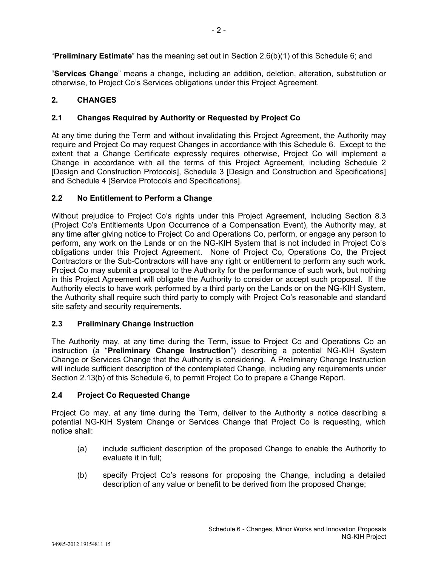"**Preliminary Estimate**" has the meaning set out in Section 2.6(b)(1) of this Schedule 6; and

"**Services Change**" means a change, including an addition, deletion, alteration, substitution or otherwise, to Project Co's Services obligations under this Project Agreement.

# **2. CHANGES**

## **2.1 Changes Required by Authority or Requested by Project Co**

At any time during the Term and without invalidating this Project Agreement, the Authority may require and Project Co may request Changes in accordance with this Schedule 6. Except to the extent that a Change Certificate expressly requires otherwise, Project Co will implement a Change in accordance with all the terms of this Project Agreement, including Schedule 2 [Design and Construction Protocols], Schedule 3 [Design and Construction and Specifications] and Schedule 4 [Service Protocols and Specifications].

## **2.2 No Entitlement to Perform a Change**

Without prejudice to Project Co's rights under this Project Agreement, including Section 8.3 (Project Co's Entitlements Upon Occurrence of a Compensation Event), the Authority may, at any time after giving notice to Project Co and Operations Co, perform, or engage any person to perform, any work on the Lands or on the NG-KIH System that is not included in Project Co's obligations under this Project Agreement. None of Project Co, Operations Co, the Project Contractors or the Sub-Contractors will have any right or entitlement to perform any such work. Project Co may submit a proposal to the Authority for the performance of such work, but nothing in this Project Agreement will obligate the Authority to consider or accept such proposal. If the Authority elects to have work performed by a third party on the Lands or on the NG-KIH System, the Authority shall require such third party to comply with Project Co's reasonable and standard site safety and security requirements.

## **2.3 Preliminary Change Instruction**

The Authority may, at any time during the Term, issue to Project Co and Operations Co an instruction (a "**Preliminary Change Instruction**") describing a potential NG-KIH System Change or Services Change that the Authority is considering. A Preliminary Change Instruction will include sufficient description of the contemplated Change, including any requirements under Section 2.13(b) of this Schedule 6, to permit Project Co to prepare a Change Report.

## **2.4 Project Co Requested Change**

Project Co may, at any time during the Term, deliver to the Authority a notice describing a potential NG-KIH System Change or Services Change that Project Co is requesting, which notice shall:

- (a) include sufficient description of the proposed Change to enable the Authority to evaluate it in full;
- (b) specify Project Co's reasons for proposing the Change, including a detailed description of any value or benefit to be derived from the proposed Change;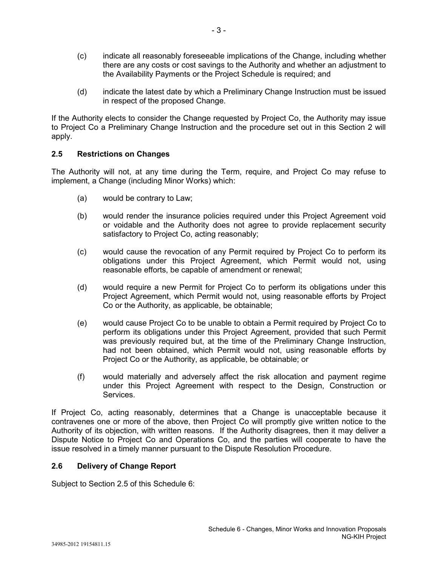- (c) indicate all reasonably foreseeable implications of the Change, including whether there are any costs or cost savings to the Authority and whether an adjustment to the Availability Payments or the Project Schedule is required; and
- (d) indicate the latest date by which a Preliminary Change Instruction must be issued in respect of the proposed Change.

If the Authority elects to consider the Change requested by Project Co, the Authority may issue to Project Co a Preliminary Change Instruction and the procedure set out in this Section 2 will apply.

## **2.5 Restrictions on Changes**

The Authority will not, at any time during the Term, require, and Project Co may refuse to implement, a Change (including Minor Works) which:

- (a) would be contrary to Law;
- (b) would render the insurance policies required under this Project Agreement void or voidable and the Authority does not agree to provide replacement security satisfactory to Project Co, acting reasonably;
- (c) would cause the revocation of any Permit required by Project Co to perform its obligations under this Project Agreement, which Permit would not, using reasonable efforts, be capable of amendment or renewal;
- (d) would require a new Permit for Project Co to perform its obligations under this Project Agreement, which Permit would not, using reasonable efforts by Project Co or the Authority, as applicable, be obtainable;
- (e) would cause Project Co to be unable to obtain a Permit required by Project Co to perform its obligations under this Project Agreement, provided that such Permit was previously required but, at the time of the Preliminary Change Instruction, had not been obtained, which Permit would not, using reasonable efforts by Project Co or the Authority, as applicable, be obtainable; or
- (f) would materially and adversely affect the risk allocation and payment regime under this Project Agreement with respect to the Design, Construction or Services.

If Project Co, acting reasonably, determines that a Change is unacceptable because it contravenes one or more of the above, then Project Co will promptly give written notice to the Authority of its objection, with written reasons. If the Authority disagrees, then it may deliver a Dispute Notice to Project Co and Operations Co, and the parties will cooperate to have the issue resolved in a timely manner pursuant to the Dispute Resolution Procedure.

### **2.6 Delivery of Change Report**

Subject to Section 2.5 of this Schedule 6: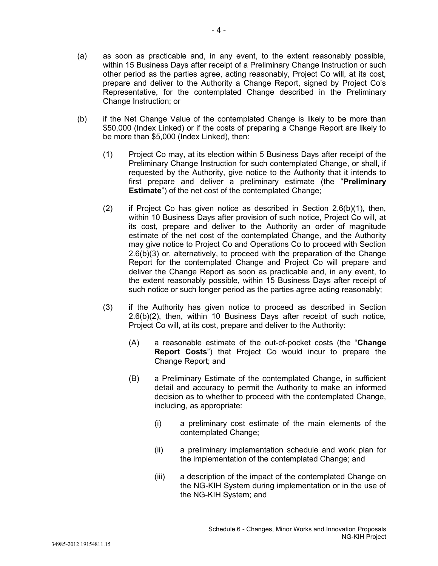- (a) as soon as practicable and, in any event, to the extent reasonably possible, within 15 Business Days after receipt of a Preliminary Change Instruction or such other period as the parties agree, acting reasonably, Project Co will, at its cost, prepare and deliver to the Authority a Change Report, signed by Project Co's Representative, for the contemplated Change described in the Preliminary Change Instruction; or
- (b) if the Net Change Value of the contemplated Change is likely to be more than \$50,000 (Index Linked) or if the costs of preparing a Change Report are likely to be more than \$5,000 (Index Linked), then:
	- (1) Project Co may, at its election within 5 Business Days after receipt of the Preliminary Change Instruction for such contemplated Change, or shall, if requested by the Authority, give notice to the Authority that it intends to first prepare and deliver a preliminary estimate (the "**Preliminary Estimate**") of the net cost of the contemplated Change;
	- (2) if Project Co has given notice as described in Section  $2.6(b)(1)$ , then, within 10 Business Days after provision of such notice, Project Co will, at its cost, prepare and deliver to the Authority an order of magnitude estimate of the net cost of the contemplated Change, and the Authority may give notice to Project Co and Operations Co to proceed with Section 2.6(b)(3) or, alternatively, to proceed with the preparation of the Change Report for the contemplated Change and Project Co will prepare and deliver the Change Report as soon as practicable and, in any event, to the extent reasonably possible, within 15 Business Days after receipt of such notice or such longer period as the parties agree acting reasonably;
	- (3) if the Authority has given notice to proceed as described in Section 2.6(b)(2), then, within 10 Business Days after receipt of such notice, Project Co will, at its cost, prepare and deliver to the Authority:
		- (A) a reasonable estimate of the out-of-pocket costs (the "**Change Report Costs**") that Project Co would incur to prepare the Change Report; and
		- (B) a Preliminary Estimate of the contemplated Change, in sufficient detail and accuracy to permit the Authority to make an informed decision as to whether to proceed with the contemplated Change, including, as appropriate:
			- (i) a preliminary cost estimate of the main elements of the contemplated Change;
			- (ii) a preliminary implementation schedule and work plan for the implementation of the contemplated Change; and
			- (iii) a description of the impact of the contemplated Change on the NG-KIH System during implementation or in the use of the NG-KIH System; and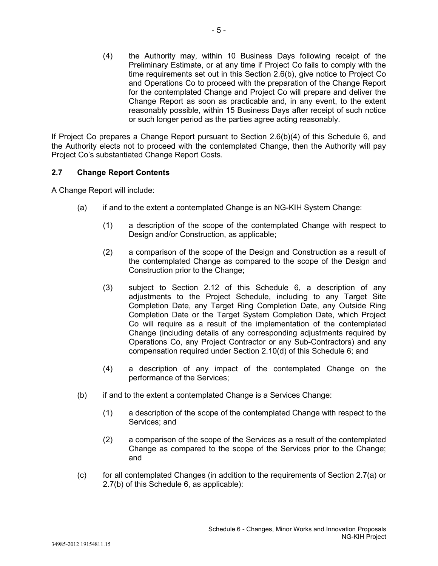(4) the Authority may, within 10 Business Days following receipt of the Preliminary Estimate, or at any time if Project Co fails to comply with the time requirements set out in this Section 2.6(b), give notice to Project Co and Operations Co to proceed with the preparation of the Change Report for the contemplated Change and Project Co will prepare and deliver the Change Report as soon as practicable and, in any event, to the extent reasonably possible, within 15 Business Days after receipt of such notice or such longer period as the parties agree acting reasonably.

If Project Co prepares a Change Report pursuant to Section 2.6(b)(4) of this Schedule 6, and the Authority elects not to proceed with the contemplated Change, then the Authority will pay Project Co's substantiated Change Report Costs.

## **2.7 Change Report Contents**

A Change Report will include:

- (a) if and to the extent a contemplated Change is an NG-KIH System Change:
	- (1) a description of the scope of the contemplated Change with respect to Design and/or Construction, as applicable;
	- (2) a comparison of the scope of the Design and Construction as a result of the contemplated Change as compared to the scope of the Design and Construction prior to the Change;
	- (3) subject to Section 2.12 of this Schedule 6, a description of any adjustments to the Project Schedule, including to any Target Site Completion Date, any Target Ring Completion Date, any Outside Ring Completion Date or the Target System Completion Date, which Project Co will require as a result of the implementation of the contemplated Change (including details of any corresponding adjustments required by Operations Co, any Project Contractor or any Sub-Contractors) and any compensation required under Section 2.10(d) of this Schedule 6; and
	- (4) a description of any impact of the contemplated Change on the performance of the Services;
- (b) if and to the extent a contemplated Change is a Services Change:
	- (1) a description of the scope of the contemplated Change with respect to the Services; and
	- (2) a comparison of the scope of the Services as a result of the contemplated Change as compared to the scope of the Services prior to the Change; and
- (c) for all contemplated Changes (in addition to the requirements of Section 2.7(a) or 2.7(b) of this Schedule 6, as applicable):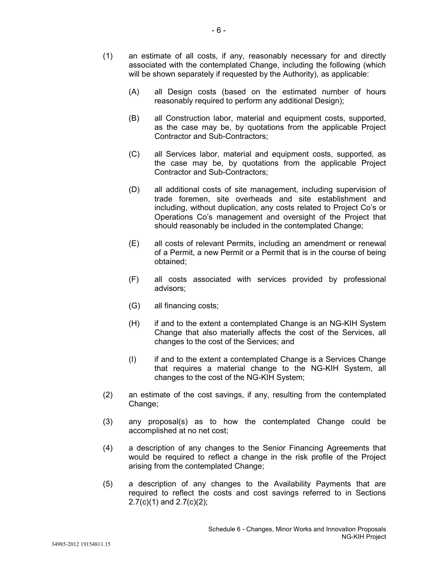- (1) an estimate of all costs, if any, reasonably necessary for and directly associated with the contemplated Change, including the following (which will be shown separately if requested by the Authority), as applicable:
	- (A) all Design costs (based on the estimated number of hours reasonably required to perform any additional Design);
	- (B) all Construction labor, material and equipment costs, supported, as the case may be, by quotations from the applicable Project Contractor and Sub-Contractors;
	- (C) all Services labor, material and equipment costs, supported, as the case may be, by quotations from the applicable Project Contractor and Sub-Contractors;
	- (D) all additional costs of site management, including supervision of trade foremen, site overheads and site establishment and including, without duplication, any costs related to Project Co's or Operations Co's management and oversight of the Project that should reasonably be included in the contemplated Change;
	- (E) all costs of relevant Permits, including an amendment or renewal of a Permit, a new Permit or a Permit that is in the course of being obtained;
	- (F) all costs associated with services provided by professional advisors;
	- (G) all financing costs;
	- (H) if and to the extent a contemplated Change is an NG-KIH System Change that also materially affects the cost of the Services, all changes to the cost of the Services; and
	- (I) if and to the extent a contemplated Change is a Services Change that requires a material change to the NG-KIH System, all changes to the cost of the NG-KIH System;
- (2) an estimate of the cost savings, if any, resulting from the contemplated Change;
- (3) any proposal(s) as to how the contemplated Change could be accomplished at no net cost;
- (4) a description of any changes to the Senior Financing Agreements that would be required to reflect a change in the risk profile of the Project arising from the contemplated Change;
- (5) a description of any changes to the Availability Payments that are required to reflect the costs and cost savings referred to in Sections  $2.7(c)(1)$  and  $2.7(c)(2)$ ;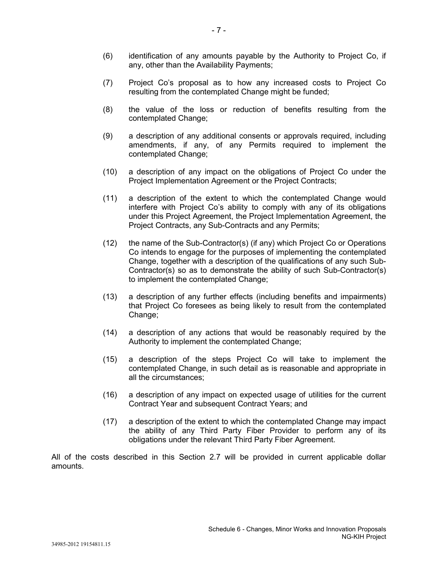- (6) identification of any amounts payable by the Authority to Project Co, if any, other than the Availability Payments;
- (7) Project Co's proposal as to how any increased costs to Project Co resulting from the contemplated Change might be funded;
- (8) the value of the loss or reduction of benefits resulting from the contemplated Change;
- (9) a description of any additional consents or approvals required, including amendments, if any, of any Permits required to implement the contemplated Change;
- (10) a description of any impact on the obligations of Project Co under the Project Implementation Agreement or the Project Contracts;
- (11) a description of the extent to which the contemplated Change would interfere with Project Co's ability to comply with any of its obligations under this Project Agreement, the Project Implementation Agreement, the Project Contracts, any Sub-Contracts and any Permits;
- (12) the name of the Sub-Contractor(s) (if any) which Project Co or Operations Co intends to engage for the purposes of implementing the contemplated Change, together with a description of the qualifications of any such Sub-Contractor(s) so as to demonstrate the ability of such Sub-Contractor(s) to implement the contemplated Change;
- (13) a description of any further effects (including benefits and impairments) that Project Co foresees as being likely to result from the contemplated Change;
- (14) a description of any actions that would be reasonably required by the Authority to implement the contemplated Change;
- (15) a description of the steps Project Co will take to implement the contemplated Change, in such detail as is reasonable and appropriate in all the circumstances;
- (16) a description of any impact on expected usage of utilities for the current Contract Year and subsequent Contract Years; and
- (17) a description of the extent to which the contemplated Change may impact the ability of any Third Party Fiber Provider to perform any of its obligations under the relevant Third Party Fiber Agreement.

All of the costs described in this Section 2.7 will be provided in current applicable dollar amounts.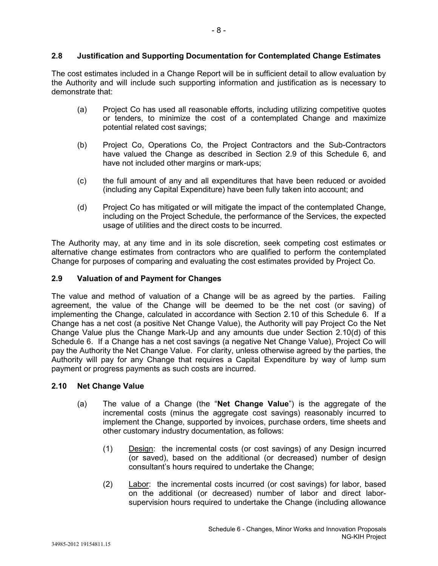# **2.8 Justification and Supporting Documentation for Contemplated Change Estimates**

The cost estimates included in a Change Report will be in sufficient detail to allow evaluation by the Authority and will include such supporting information and justification as is necessary to demonstrate that:

- (a) Project Co has used all reasonable efforts, including utilizing competitive quotes or tenders, to minimize the cost of a contemplated Change and maximize potential related cost savings;
- (b) Project Co, Operations Co, the Project Contractors and the Sub-Contractors have valued the Change as described in Section 2.9 of this Schedule 6, and have not included other margins or mark-ups;
- (c) the full amount of any and all expenditures that have been reduced or avoided (including any Capital Expenditure) have been fully taken into account; and
- (d) Project Co has mitigated or will mitigate the impact of the contemplated Change, including on the Project Schedule, the performance of the Services, the expected usage of utilities and the direct costs to be incurred.

The Authority may, at any time and in its sole discretion, seek competing cost estimates or alternative change estimates from contractors who are qualified to perform the contemplated Change for purposes of comparing and evaluating the cost estimates provided by Project Co.

## **2.9 Valuation of and Payment for Changes**

The value and method of valuation of a Change will be as agreed by the parties. Failing agreement, the value of the Change will be deemed to be the net cost (or saving) of implementing the Change, calculated in accordance with Section 2.10 of this Schedule 6. If a Change has a net cost (a positive Net Change Value), the Authority will pay Project Co the Net Change Value plus the Change Mark-Up and any amounts due under Section 2.10(d) of this Schedule 6. If a Change has a net cost savings (a negative Net Change Value), Project Co will pay the Authority the Net Change Value. For clarity, unless otherwise agreed by the parties, the Authority will pay for any Change that requires a Capital Expenditure by way of lump sum payment or progress payments as such costs are incurred.

## **2.10 Net Change Value**

- (a) The value of a Change (the "**Net Change Value**") is the aggregate of the incremental costs (minus the aggregate cost savings) reasonably incurred to implement the Change, supported by invoices, purchase orders, time sheets and other customary industry documentation, as follows:
	- (1) Design: the incremental costs (or cost savings) of any Design incurred (or saved), based on the additional (or decreased) number of design consultant's hours required to undertake the Change;
	- (2) Labor: the incremental costs incurred (or cost savings) for labor, based on the additional (or decreased) number of labor and direct laborsupervision hours required to undertake the Change (including allowance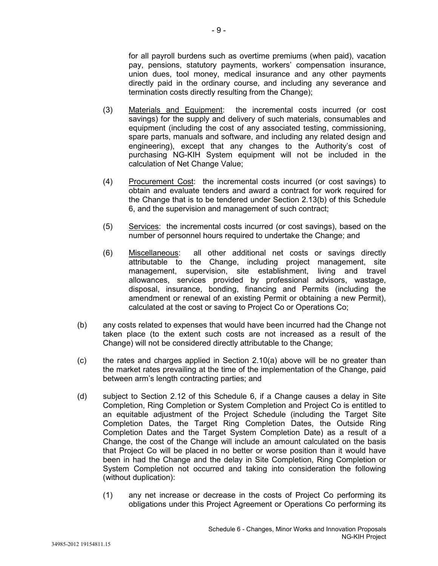for all payroll burdens such as overtime premiums (when paid), vacation pay, pensions, statutory payments, workers' compensation insurance, union dues, tool money, medical insurance and any other payments directly paid in the ordinary course, and including any severance and termination costs directly resulting from the Change);

- (3) Materials and Equipment: the incremental costs incurred (or cost savings) for the supply and delivery of such materials, consumables and equipment (including the cost of any associated testing, commissioning, spare parts, manuals and software, and including any related design and engineering), except that any changes to the Authority's cost of purchasing NG-KIH System equipment will not be included in the calculation of Net Change Value;
- (4) Procurement Cost: the incremental costs incurred (or cost savings) to obtain and evaluate tenders and award a contract for work required for the Change that is to be tendered under Section 2.13(b) of this Schedule 6, and the supervision and management of such contract;
- (5) Services: the incremental costs incurred (or cost savings), based on the number of personnel hours required to undertake the Change; and
- (6) Miscellaneous: all other additional net costs or savings directly attributable to the Change, including project management, site management, supervision, site establishment, living and travel allowances, services provided by professional advisors, wastage, disposal, insurance, bonding, financing and Permits (including the amendment or renewal of an existing Permit or obtaining a new Permit), calculated at the cost or saving to Project Co or Operations Co;
- (b) any costs related to expenses that would have been incurred had the Change not taken place (to the extent such costs are not increased as a result of the Change) will not be considered directly attributable to the Change;
- (c) the rates and charges applied in Section 2.10(a) above will be no greater than the market rates prevailing at the time of the implementation of the Change, paid between arm's length contracting parties; and
- (d) subject to Section 2.12 of this Schedule 6, if a Change causes a delay in Site Completion, Ring Completion or System Completion and Project Co is entitled to an equitable adjustment of the Project Schedule (including the Target Site Completion Dates, the Target Ring Completion Dates, the Outside Ring Completion Dates and the Target System Completion Date) as a result of a Change, the cost of the Change will include an amount calculated on the basis that Project Co will be placed in no better or worse position than it would have been in had the Change and the delay in Site Completion, Ring Completion or System Completion not occurred and taking into consideration the following (without duplication):
	- (1) any net increase or decrease in the costs of Project Co performing its obligations under this Project Agreement or Operations Co performing its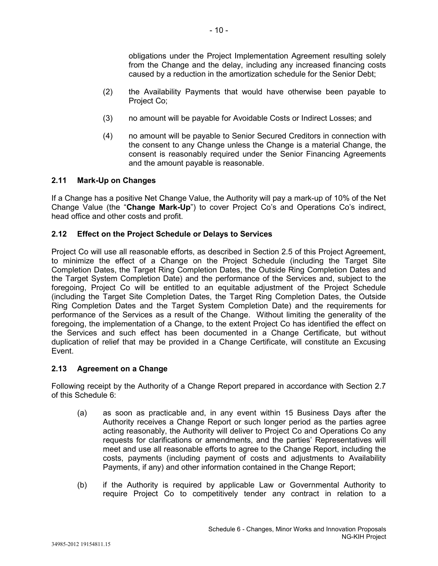obligations under the Project Implementation Agreement resulting solely from the Change and the delay, including any increased financing costs caused by a reduction in the amortization schedule for the Senior Debt;

- (2) the Availability Payments that would have otherwise been payable to Project Co;
- (3) no amount will be payable for Avoidable Costs or Indirect Losses; and
- (4) no amount will be payable to Senior Secured Creditors in connection with the consent to any Change unless the Change is a material Change, the consent is reasonably required under the Senior Financing Agreements and the amount payable is reasonable.

## **2.11 Mark-Up on Changes**

If a Change has a positive Net Change Value, the Authority will pay a mark-up of 10% of the Net Change Value (the "**Change Mark-Up**") to cover Project Co's and Operations Co's indirect, head office and other costs and profit.

## **2.12 Effect on the Project Schedule or Delays to Services**

Project Co will use all reasonable efforts, as described in Section 2.5 of this Project Agreement, to minimize the effect of a Change on the Project Schedule (including the Target Site Completion Dates, the Target Ring Completion Dates, the Outside Ring Completion Dates and the Target System Completion Date) and the performance of the Services and, subject to the foregoing, Project Co will be entitled to an equitable adjustment of the Project Schedule (including the Target Site Completion Dates, the Target Ring Completion Dates, the Outside Ring Completion Dates and the Target System Completion Date) and the requirements for performance of the Services as a result of the Change. Without limiting the generality of the foregoing, the implementation of a Change, to the extent Project Co has identified the effect on the Services and such effect has been documented in a Change Certificate, but without duplication of relief that may be provided in a Change Certificate, will constitute an Excusing Event.

### **2.13 Agreement on a Change**

Following receipt by the Authority of a Change Report prepared in accordance with Section 2.7 of this Schedule 6:

- (a) as soon as practicable and, in any event within 15 Business Days after the Authority receives a Change Report or such longer period as the parties agree acting reasonably, the Authority will deliver to Project Co and Operations Co any requests for clarifications or amendments, and the parties' Representatives will meet and use all reasonable efforts to agree to the Change Report, including the costs, payments (including payment of costs and adjustments to Availability Payments, if any) and other information contained in the Change Report;
- (b) if the Authority is required by applicable Law or Governmental Authority to require Project Co to competitively tender any contract in relation to a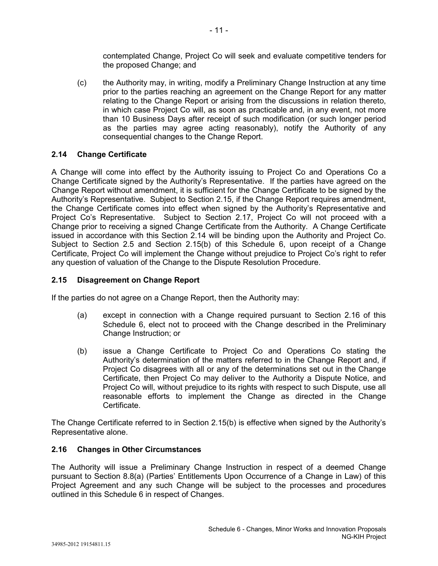contemplated Change, Project Co will seek and evaluate competitive tenders for the proposed Change; and

(c) the Authority may, in writing, modify a Preliminary Change Instruction at any time prior to the parties reaching an agreement on the Change Report for any matter relating to the Change Report or arising from the discussions in relation thereto, in which case Project Co will, as soon as practicable and, in any event, not more than 10 Business Days after receipt of such modification (or such longer period as the parties may agree acting reasonably), notify the Authority of any consequential changes to the Change Report.

### **2.14 Change Certificate**

A Change will come into effect by the Authority issuing to Project Co and Operations Co a Change Certificate signed by the Authority's Representative. If the parties have agreed on the Change Report without amendment, it is sufficient for the Change Certificate to be signed by the Authority's Representative. Subject to Section 2.15, if the Change Report requires amendment, the Change Certificate comes into effect when signed by the Authority's Representative and Project Co's Representative. Subject to Section 2.17, Project Co will not proceed with a Change prior to receiving a signed Change Certificate from the Authority. A Change Certificate issued in accordance with this Section 2.14 will be binding upon the Authority and Project Co. Subject to Section 2.5 and Section 2.15(b) of this Schedule 6, upon receipt of a Change Certificate, Project Co will implement the Change without prejudice to Project Co's right to refer any question of valuation of the Change to the Dispute Resolution Procedure.

### **2.15 Disagreement on Change Report**

If the parties do not agree on a Change Report, then the Authority may:

- (a) except in connection with a Change required pursuant to Section 2.16 of this Schedule 6, elect not to proceed with the Change described in the Preliminary Change Instruction; or
- (b) issue a Change Certificate to Project Co and Operations Co stating the Authority's determination of the matters referred to in the Change Report and, if Project Co disagrees with all or any of the determinations set out in the Change Certificate, then Project Co may deliver to the Authority a Dispute Notice, and Project Co will, without prejudice to its rights with respect to such Dispute, use all reasonable efforts to implement the Change as directed in the Change Certificate.

The Change Certificate referred to in Section 2.15(b) is effective when signed by the Authority's Representative alone.

### **2.16 Changes in Other Circumstances**

The Authority will issue a Preliminary Change Instruction in respect of a deemed Change pursuant to Section 8.8(a) (Parties' Entitlements Upon Occurrence of a Change in Law) of this Project Agreement and any such Change will be subject to the processes and procedures outlined in this Schedule 6 in respect of Changes.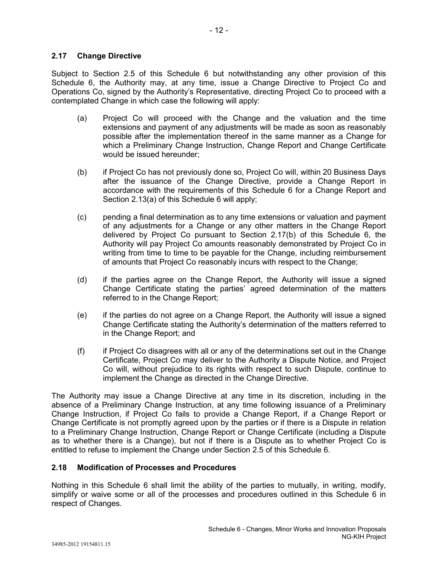## **2.17 Change Directive**

Subject to Section 2.5 of this Schedule 6 but notwithstanding any other provision of this Schedule 6, the Authority may, at any time, issue a Change Directive to Project Co and Operations Co, signed by the Authority's Representative, directing Project Co to proceed with a contemplated Change in which case the following will apply:

- (a) Project Co will proceed with the Change and the valuation and the time extensions and payment of any adjustments will be made as soon as reasonably possible after the implementation thereof in the same manner as a Change for which a Preliminary Change Instruction, Change Report and Change Certificate would be issued hereunder;
- (b) if Project Co has not previously done so, Project Co will, within 20 Business Days after the issuance of the Change Directive, provide a Change Report in accordance with the requirements of this Schedule 6 for a Change Report and Section 2.13(a) of this Schedule 6 will apply;
- (c) pending a final determination as to any time extensions or valuation and payment of any adjustments for a Change or any other matters in the Change Report delivered by Project Co pursuant to Section 2.17(b) of this Schedule 6, the Authority will pay Project Co amounts reasonably demonstrated by Project Co in writing from time to time to be payable for the Change, including reimbursement of amounts that Project Co reasonably incurs with respect to the Change;
- (d) if the parties agree on the Change Report, the Authority will issue a signed Change Certificate stating the parties' agreed determination of the matters referred to in the Change Report;
- (e) if the parties do not agree on a Change Report, the Authority will issue a signed Change Certificate stating the Authority's determination of the matters referred to in the Change Report; and
- (f) if Project Co disagrees with all or any of the determinations set out in the Change Certificate, Project Co may deliver to the Authority a Dispute Notice, and Project Co will, without prejudice to its rights with respect to such Dispute, continue to implement the Change as directed in the Change Directive.

The Authority may issue a Change Directive at any time in its discretion, including in the absence of a Preliminary Change Instruction, at any time following issuance of a Preliminary Change Instruction, if Project Co fails to provide a Change Report, if a Change Report or Change Certificate is not promptly agreed upon by the parties or if there is a Dispute in relation to a Preliminary Change Instruction, Change Report or Change Certificate (including a Dispute as to whether there is a Change), but not if there is a Dispute as to whether Project Co is entitled to refuse to implement the Change under Section 2.5 of this Schedule 6.

### **2.18 Modification of Processes and Procedures**

Nothing in this Schedule 6 shall limit the ability of the parties to mutually, in writing, modify, simplify or waive some or all of the processes and procedures outlined in this Schedule 6 in respect of Changes.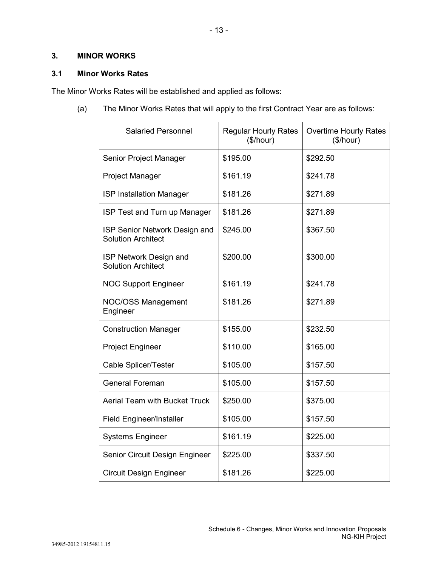## **3. MINOR WORKS**

## **3.1 Minor Works Rates**

The Minor Works Rates will be established and applied as follows:

(a) The Minor Works Rates that will apply to the first Contract Year are as follows:

| <b>Salaried Personnel</b>                                  | <b>Regular Hourly Rates</b><br>(\$/hour) | <b>Overtime Hourly Rates</b><br>(\$/hour) |
|------------------------------------------------------------|------------------------------------------|-------------------------------------------|
| Senior Project Manager                                     | \$195.00                                 | \$292.50                                  |
| Project Manager                                            | \$161.19                                 | \$241.78                                  |
| <b>ISP Installation Manager</b>                            | \$181.26                                 | \$271.89                                  |
| ISP Test and Turn up Manager                               | \$181.26                                 | \$271.89                                  |
| ISP Senior Network Design and<br><b>Solution Architect</b> | \$245.00                                 | \$367.50                                  |
| ISP Network Design and<br><b>Solution Architect</b>        | \$200.00                                 | \$300.00                                  |
| <b>NOC Support Engineer</b>                                | \$161.19                                 | \$241.78                                  |
| <b>NOC/OSS Management</b><br>Engineer                      | \$181.26                                 | \$271.89                                  |
| <b>Construction Manager</b>                                | \$155.00                                 | \$232.50                                  |
| <b>Project Engineer</b>                                    | \$110.00                                 | \$165.00                                  |
| Cable Splicer/Tester                                       | \$105.00                                 | \$157.50                                  |
| <b>General Foreman</b>                                     | \$105.00                                 | \$157.50                                  |
| <b>Aerial Team with Bucket Truck</b>                       | \$250.00                                 | \$375.00                                  |
| <b>Field Engineer/Installer</b>                            | \$105.00                                 | \$157.50                                  |
| <b>Systems Engineer</b>                                    | \$161.19                                 | \$225.00                                  |
| Senior Circuit Design Engineer                             | \$225.00                                 | \$337.50                                  |
| <b>Circuit Design Engineer</b>                             | \$181.26                                 | \$225.00                                  |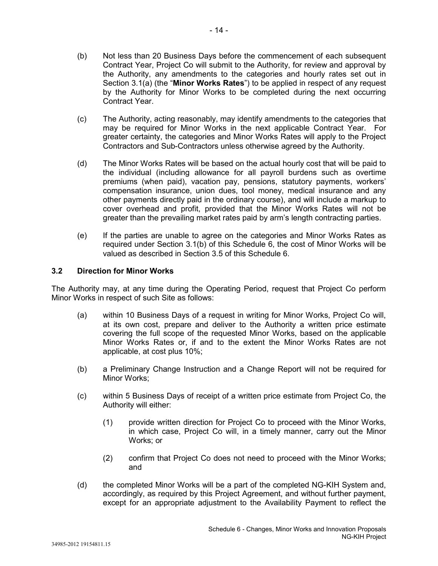- (b) Not less than 20 Business Days before the commencement of each subsequent Contract Year, Project Co will submit to the Authority, for review and approval by the Authority, any amendments to the categories and hourly rates set out in Section 3.1(a) (the "**Minor Works Rates**") to be applied in respect of any request by the Authority for Minor Works to be completed during the next occurring Contract Year.
- (c) The Authority, acting reasonably, may identify amendments to the categories that may be required for Minor Works in the next applicable Contract Year. For greater certainty, the categories and Minor Works Rates will apply to the Project Contractors and Sub-Contractors unless otherwise agreed by the Authority.
- (d) The Minor Works Rates will be based on the actual hourly cost that will be paid to the individual (including allowance for all payroll burdens such as overtime premiums (when paid), vacation pay, pensions, statutory payments, workers' compensation insurance, union dues, tool money, medical insurance and any other payments directly paid in the ordinary course), and will include a markup to cover overhead and profit, provided that the Minor Works Rates will not be greater than the prevailing market rates paid by arm's length contracting parties.
- (e) If the parties are unable to agree on the categories and Minor Works Rates as required under Section 3.1(b) of this Schedule 6, the cost of Minor Works will be valued as described in Section 3.5 of this Schedule 6.

## **3.2 Direction for Minor Works**

The Authority may, at any time during the Operating Period, request that Project Co perform Minor Works in respect of such Site as follows:

- (a) within 10 Business Days of a request in writing for Minor Works, Project Co will, at its own cost, prepare and deliver to the Authority a written price estimate covering the full scope of the requested Minor Works, based on the applicable Minor Works Rates or, if and to the extent the Minor Works Rates are not applicable, at cost plus 10%;
- (b) a Preliminary Change Instruction and a Change Report will not be required for Minor Works;
- (c) within 5 Business Days of receipt of a written price estimate from Project Co, the Authority will either:
	- (1) provide written direction for Project Co to proceed with the Minor Works, in which case, Project Co will, in a timely manner, carry out the Minor Works; or
	- (2) confirm that Project Co does not need to proceed with the Minor Works; and
- (d) the completed Minor Works will be a part of the completed NG-KIH System and, accordingly, as required by this Project Agreement, and without further payment, except for an appropriate adjustment to the Availability Payment to reflect the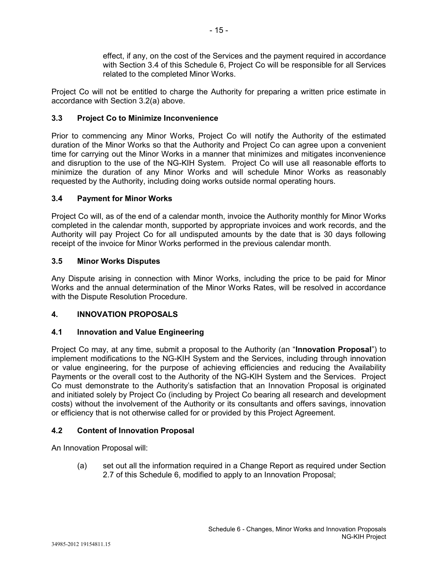effect, if any, on the cost of the Services and the payment required in accordance with Section 3.4 of this Schedule 6, Project Co will be responsible for all Services related to the completed Minor Works.

Project Co will not be entitled to charge the Authority for preparing a written price estimate in accordance with Section 3.2(a) above.

## **3.3 Project Co to Minimize Inconvenience**

Prior to commencing any Minor Works, Project Co will notify the Authority of the estimated duration of the Minor Works so that the Authority and Project Co can agree upon a convenient time for carrying out the Minor Works in a manner that minimizes and mitigates inconvenience and disruption to the use of the NG-KIH System. Project Co will use all reasonable efforts to minimize the duration of any Minor Works and will schedule Minor Works as reasonably requested by the Authority, including doing works outside normal operating hours.

# **3.4 Payment for Minor Works**

Project Co will, as of the end of a calendar month, invoice the Authority monthly for Minor Works completed in the calendar month, supported by appropriate invoices and work records, and the Authority will pay Project Co for all undisputed amounts by the date that is 30 days following receipt of the invoice for Minor Works performed in the previous calendar month.

## **3.5 Minor Works Disputes**

Any Dispute arising in connection with Minor Works, including the price to be paid for Minor Works and the annual determination of the Minor Works Rates, will be resolved in accordance with the Dispute Resolution Procedure.

# **4. INNOVATION PROPOSALS**

# **4.1 Innovation and Value Engineering**

Project Co may, at any time, submit a proposal to the Authority (an "**Innovation Proposal**") to implement modifications to the NG-KIH System and the Services, including through innovation or value engineering, for the purpose of achieving efficiencies and reducing the Availability Payments or the overall cost to the Authority of the NG-KIH System and the Services. Project Co must demonstrate to the Authority's satisfaction that an Innovation Proposal is originated and initiated solely by Project Co (including by Project Co bearing all research and development costs) without the involvement of the Authority or its consultants and offers savings, innovation or efficiency that is not otherwise called for or provided by this Project Agreement.

# **4.2 Content of Innovation Proposal**

An Innovation Proposal will:

(a) set out all the information required in a Change Report as required under Section 2.7 of this Schedule 6, modified to apply to an Innovation Proposal;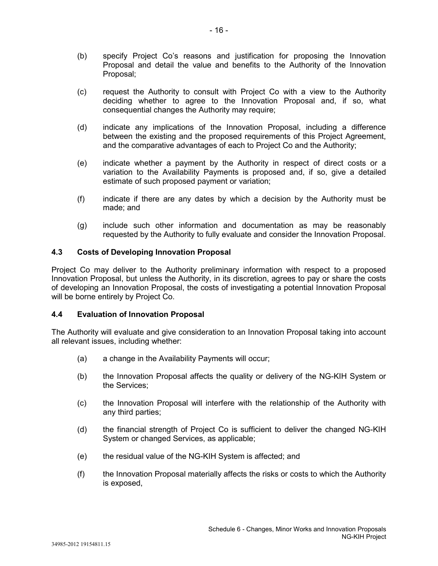- (b) specify Project Co's reasons and justification for proposing the Innovation Proposal and detail the value and benefits to the Authority of the Innovation Proposal;
- (c) request the Authority to consult with Project Co with a view to the Authority deciding whether to agree to the Innovation Proposal and, if so, what consequential changes the Authority may require;
- (d) indicate any implications of the Innovation Proposal, including a difference between the existing and the proposed requirements of this Project Agreement, and the comparative advantages of each to Project Co and the Authority;
- (e) indicate whether a payment by the Authority in respect of direct costs or a variation to the Availability Payments is proposed and, if so, give a detailed estimate of such proposed payment or variation;
- (f) indicate if there are any dates by which a decision by the Authority must be made; and
- (g) include such other information and documentation as may be reasonably requested by the Authority to fully evaluate and consider the Innovation Proposal.

## **4.3 Costs of Developing Innovation Proposal**

Project Co may deliver to the Authority preliminary information with respect to a proposed Innovation Proposal, but unless the Authority, in its discretion, agrees to pay or share the costs of developing an Innovation Proposal, the costs of investigating a potential Innovation Proposal will be borne entirely by Project Co.

## **4.4 Evaluation of Innovation Proposal**

The Authority will evaluate and give consideration to an Innovation Proposal taking into account all relevant issues, including whether:

- (a) a change in the Availability Payments will occur;
- (b) the Innovation Proposal affects the quality or delivery of the NG-KIH System or the Services;
- (c) the Innovation Proposal will interfere with the relationship of the Authority with any third parties;
- (d) the financial strength of Project Co is sufficient to deliver the changed NG-KIH System or changed Services, as applicable;
- (e) the residual value of the NG-KIH System is affected; and
- (f) the Innovation Proposal materially affects the risks or costs to which the Authority is exposed,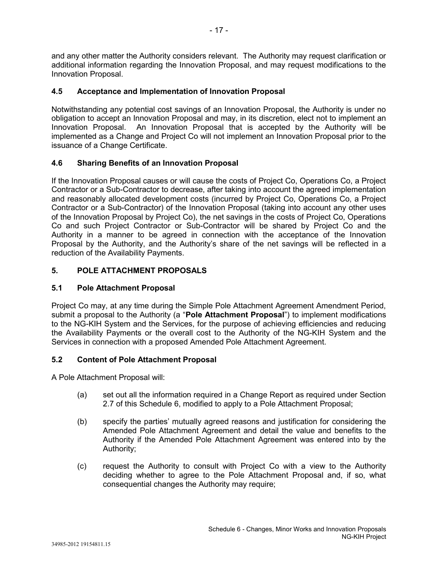and any other matter the Authority considers relevant. The Authority may request clarification or additional information regarding the Innovation Proposal, and may request modifications to the Innovation Proposal.

# **4.5 Acceptance and Implementation of Innovation Proposal**

Notwithstanding any potential cost savings of an Innovation Proposal, the Authority is under no obligation to accept an Innovation Proposal and may, in its discretion, elect not to implement an Innovation Proposal. An Innovation Proposal that is accepted by the Authority will be implemented as a Change and Project Co will not implement an Innovation Proposal prior to the issuance of a Change Certificate.

# **4.6 Sharing Benefits of an Innovation Proposal**

If the Innovation Proposal causes or will cause the costs of Project Co, Operations Co, a Project Contractor or a Sub-Contractor to decrease, after taking into account the agreed implementation and reasonably allocated development costs (incurred by Project Co, Operations Co, a Project Contractor or a Sub-Contractor) of the Innovation Proposal (taking into account any other uses of the Innovation Proposal by Project Co), the net savings in the costs of Project Co, Operations Co and such Project Contractor or Sub-Contractor will be shared by Project Co and the Authority in a manner to be agreed in connection with the acceptance of the Innovation Proposal by the Authority, and the Authority's share of the net savings will be reflected in a reduction of the Availability Payments.

# **5. POLE ATTACHMENT PROPOSALS**

## **5.1 Pole Attachment Proposal**

Project Co may, at any time during the Simple Pole Attachment Agreement Amendment Period, submit a proposal to the Authority (a "**Pole Attachment Proposal**") to implement modifications to the NG-KIH System and the Services, for the purpose of achieving efficiencies and reducing the Availability Payments or the overall cost to the Authority of the NG-KIH System and the Services in connection with a proposed Amended Pole Attachment Agreement.

## **5.2 Content of Pole Attachment Proposal**

A Pole Attachment Proposal will:

- (a) set out all the information required in a Change Report as required under Section 2.7 of this Schedule 6, modified to apply to a Pole Attachment Proposal;
- (b) specify the parties' mutually agreed reasons and justification for considering the Amended Pole Attachment Agreement and detail the value and benefits to the Authority if the Amended Pole Attachment Agreement was entered into by the Authority;
- (c) request the Authority to consult with Project Co with a view to the Authority deciding whether to agree to the Pole Attachment Proposal and, if so, what consequential changes the Authority may require;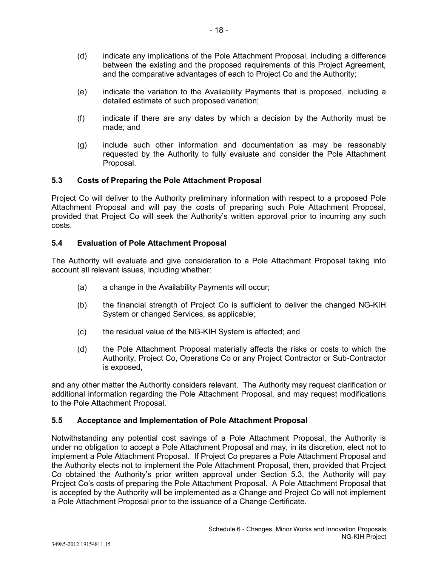- (d) indicate any implications of the Pole Attachment Proposal, including a difference between the existing and the proposed requirements of this Project Agreement, and the comparative advantages of each to Project Co and the Authority;
- (e) indicate the variation to the Availability Payments that is proposed, including a detailed estimate of such proposed variation;
- (f) indicate if there are any dates by which a decision by the Authority must be made; and
- (g) include such other information and documentation as may be reasonably requested by the Authority to fully evaluate and consider the Pole Attachment Proposal.

## **5.3 Costs of Preparing the Pole Attachment Proposal**

Project Co will deliver to the Authority preliminary information with respect to a proposed Pole Attachment Proposal and will pay the costs of preparing such Pole Attachment Proposal, provided that Project Co will seek the Authority's written approval prior to incurring any such costs.

### **5.4 Evaluation of Pole Attachment Proposal**

The Authority will evaluate and give consideration to a Pole Attachment Proposal taking into account all relevant issues, including whether:

- (a) a change in the Availability Payments will occur;
- (b) the financial strength of Project Co is sufficient to deliver the changed NG-KIH System or changed Services, as applicable;
- (c) the residual value of the NG-KIH System is affected; and
- (d) the Pole Attachment Proposal materially affects the risks or costs to which the Authority, Project Co, Operations Co or any Project Contractor or Sub-Contractor is exposed,

and any other matter the Authority considers relevant. The Authority may request clarification or additional information regarding the Pole Attachment Proposal, and may request modifications to the Pole Attachment Proposal.

## **5.5 Acceptance and Implementation of Pole Attachment Proposal**

Notwithstanding any potential cost savings of a Pole Attachment Proposal, the Authority is under no obligation to accept a Pole Attachment Proposal and may, in its discretion, elect not to implement a Pole Attachment Proposal. If Project Co prepares a Pole Attachment Proposal and the Authority elects not to implement the Pole Attachment Proposal, then, provided that Project Co obtained the Authority's prior written approval under Section 5.3, the Authority will pay Project Co's costs of preparing the Pole Attachment Proposal. A Pole Attachment Proposal that is accepted by the Authority will be implemented as a Change and Project Co will not implement a Pole Attachment Proposal prior to the issuance of a Change Certificate.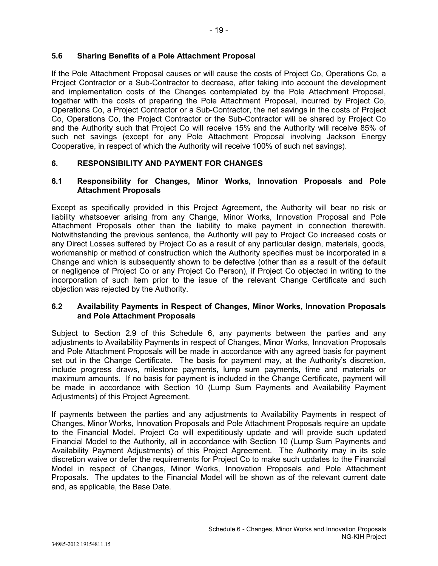# **5.6 Sharing Benefits of a Pole Attachment Proposal**

If the Pole Attachment Proposal causes or will cause the costs of Project Co, Operations Co, a Project Contractor or a Sub-Contractor to decrease, after taking into account the development and implementation costs of the Changes contemplated by the Pole Attachment Proposal, together with the costs of preparing the Pole Attachment Proposal, incurred by Project Co, Operations Co, a Project Contractor or a Sub-Contractor, the net savings in the costs of Project Co, Operations Co, the Project Contractor or the Sub-Contractor will be shared by Project Co and the Authority such that Project Co will receive 15% and the Authority will receive 85% of such net savings (except for any Pole Attachment Proposal involving Jackson Energy Cooperative, in respect of which the Authority will receive 100% of such net savings).

# **6. RESPONSIBILITY AND PAYMENT FOR CHANGES**

## **6.1 Responsibility for Changes, Minor Works, Innovation Proposals and Pole Attachment Proposals**

Except as specifically provided in this Project Agreement, the Authority will bear no risk or liability whatsoever arising from any Change, Minor Works, Innovation Proposal and Pole Attachment Proposals other than the liability to make payment in connection therewith. Notwithstanding the previous sentence, the Authority will pay to Project Co increased costs or any Direct Losses suffered by Project Co as a result of any particular design, materials, goods, workmanship or method of construction which the Authority specifies must be incorporated in a Change and which is subsequently shown to be defective (other than as a result of the default or negligence of Project Co or any Project Co Person), if Project Co objected in writing to the incorporation of such item prior to the issue of the relevant Change Certificate and such objection was rejected by the Authority.

## **6.2 Availability Payments in Respect of Changes, Minor Works, Innovation Proposals and Pole Attachment Proposals**

Subject to Section 2.9 of this Schedule 6, any payments between the parties and any adjustments to Availability Payments in respect of Changes, Minor Works, Innovation Proposals and Pole Attachment Proposals will be made in accordance with any agreed basis for payment set out in the Change Certificate. The basis for payment may, at the Authority's discretion, include progress draws, milestone payments, lump sum payments, time and materials or maximum amounts. If no basis for payment is included in the Change Certificate, payment will be made in accordance with Section 10 (Lump Sum Payments and Availability Payment Adjustments) of this Project Agreement.

If payments between the parties and any adjustments to Availability Payments in respect of Changes, Minor Works, Innovation Proposals and Pole Attachment Proposals require an update to the Financial Model, Project Co will expeditiously update and will provide such updated Financial Model to the Authority, all in accordance with Section 10 (Lump Sum Payments and Availability Payment Adjustments) of this Project Agreement. The Authority may in its sole discretion waive or defer the requirements for Project Co to make such updates to the Financial Model in respect of Changes, Minor Works, Innovation Proposals and Pole Attachment Proposals. The updates to the Financial Model will be shown as of the relevant current date and, as applicable, the Base Date.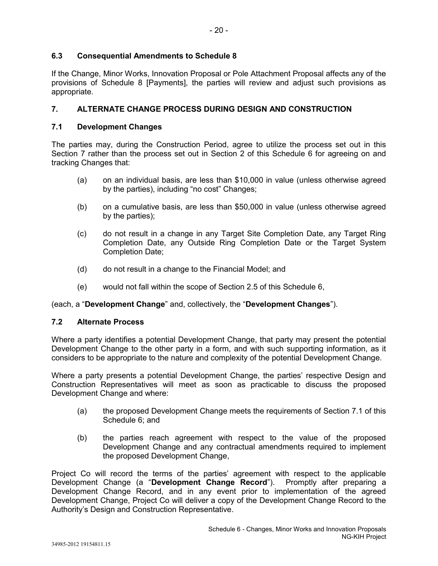## **6.3 Consequential Amendments to Schedule 8**

If the Change, Minor Works, Innovation Proposal or Pole Attachment Proposal affects any of the provisions of Schedule 8 [Payments], the parties will review and adjust such provisions as appropriate.

# **7. ALTERNATE CHANGE PROCESS DURING DESIGN AND CONSTRUCTION**

## **7.1 Development Changes**

The parties may, during the Construction Period, agree to utilize the process set out in this Section 7 rather than the process set out in Section 2 of this Schedule 6 for agreeing on and tracking Changes that:

- (a) on an individual basis, are less than \$10,000 in value (unless otherwise agreed by the parties), including "no cost" Changes;
- (b) on a cumulative basis, are less than \$50,000 in value (unless otherwise agreed by the parties);
- (c) do not result in a change in any Target Site Completion Date, any Target Ring Completion Date, any Outside Ring Completion Date or the Target System Completion Date;
- (d) do not result in a change to the Financial Model; and
- (e) would not fall within the scope of Section 2.5 of this Schedule 6,

### (each, a "**Development Change**" and, collectively, the "**Development Changes**").

## **7.2 Alternate Process**

Where a party identifies a potential Development Change, that party may present the potential Development Change to the other party in a form, and with such supporting information, as it considers to be appropriate to the nature and complexity of the potential Development Change.

Where a party presents a potential Development Change, the parties' respective Design and Construction Representatives will meet as soon as practicable to discuss the proposed Development Change and where:

- (a) the proposed Development Change meets the requirements of Section 7.1 of this Schedule 6; and
- (b) the parties reach agreement with respect to the value of the proposed Development Change and any contractual amendments required to implement the proposed Development Change,

Project Co will record the terms of the parties' agreement with respect to the applicable Development Change (a "**Development Change Record**"). Promptly after preparing a Development Change Record, and in any event prior to implementation of the agreed Development Change, Project Co will deliver a copy of the Development Change Record to the Authority's Design and Construction Representative.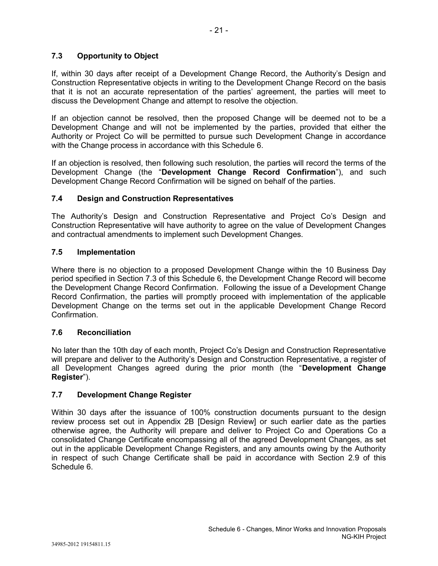If, within 30 days after receipt of a Development Change Record, the Authority's Design and Construction Representative objects in writing to the Development Change Record on the basis that it is not an accurate representation of the parties' agreement, the parties will meet to discuss the Development Change and attempt to resolve the objection.

If an objection cannot be resolved, then the proposed Change will be deemed not to be a Development Change and will not be implemented by the parties, provided that either the Authority or Project Co will be permitted to pursue such Development Change in accordance with the Change process in accordance with this Schedule 6.

If an objection is resolved, then following such resolution, the parties will record the terms of the Development Change (the "**Development Change Record Confirmation**"), and such Development Change Record Confirmation will be signed on behalf of the parties.

# **7.4 Design and Construction Representatives**

The Authority's Design and Construction Representative and Project Co's Design and Construction Representative will have authority to agree on the value of Development Changes and contractual amendments to implement such Development Changes.

# **7.5 Implementation**

Where there is no objection to a proposed Development Change within the 10 Business Day period specified in Section 7.3 of this Schedule 6, the Development Change Record will become the Development Change Record Confirmation. Following the issue of a Development Change Record Confirmation, the parties will promptly proceed with implementation of the applicable Development Change on the terms set out in the applicable Development Change Record Confirmation.

## **7.6 Reconciliation**

No later than the 10th day of each month, Project Co's Design and Construction Representative will prepare and deliver to the Authority's Design and Construction Representative, a register of all Development Changes agreed during the prior month (the "**Development Change Register**").

## **7.7 Development Change Register**

Within 30 days after the issuance of 100% construction documents pursuant to the design review process set out in Appendix 2B [Design Review] or such earlier date as the parties otherwise agree, the Authority will prepare and deliver to Project Co and Operations Co a consolidated Change Certificate encompassing all of the agreed Development Changes, as set out in the applicable Development Change Registers, and any amounts owing by the Authority in respect of such Change Certificate shall be paid in accordance with Section 2.9 of this Schedule 6.